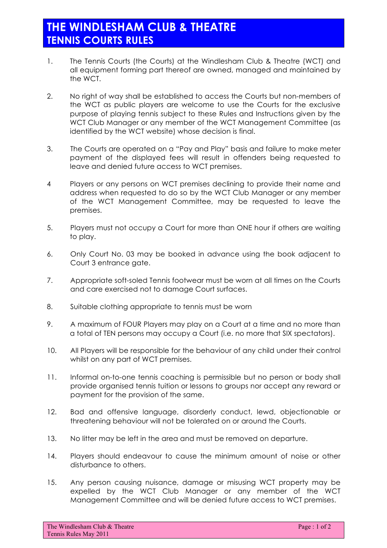- 1. The Tennis Courts (the Courts) at the Windlesham Club & Theatre (WCT) and all equipment forming part thereof are owned, managed and maintained by the WCT.
- 2. No right of way shall be established to access the Courts but non-members of the WCT as public players are welcome to use the Courts for the exclusive purpose of playing tennis subject to these Rules and Instructions given by the WCT Club Manager or any member of the WCT Management Committee (as identified by the WCT website) whose decision is final.
- 3. The Courts are operated on a "Pay and Play" basis and failure to make meter payment of the displayed fees will result in offenders being requested to leave and denied future access to WCT premises.
- 4 Players or any persons on WCT premises declining to provide their name and address when requested to do so by the WCT Club Manager or any member of the WCT Management Committee, may be requested to leave the premises.
- 5. Players must not occupy a Court for more than ONE hour if others are waiting to play.
- 6. Only Court No. 03 may be booked in advance using the book adjacent to Court 3 entrance gate.
- 7. Appropriate soft-soled Tennis footwear must be worn at all times on the Courts and care exercised not to damage Court surfaces.
- 8. Suitable clothing appropriate to tennis must be worn
- 9. A maximum of FOUR Players may play on a Court at a time and no more than a total of TEN persons may occupy a Court (i.e. no more that SIX spectators).
- 10. All Players will be responsible for the behaviour of any child under their control whilst on any part of WCT premises.
- 11. Informal on-to-one tennis coaching is permissible but no person or body shall provide organised tennis tuition or lessons to groups nor accept any reward or payment for the provision of the same.
- 12. Bad and offensive language, disorderly conduct, lewd, objectionable or threatening behaviour will not be tolerated on or around the Courts.
- 13. No litter may be left in the area and must be removed on departure.
- 14. Players should endeavour to cause the minimum amount of noise or other disturbance to others.
- 15. Any person causing nuisance, damage or misusing WCT property may be expelled by the WCT Club Manager or any member of the WCT Management Committee and will be denied future access to WCT premises.